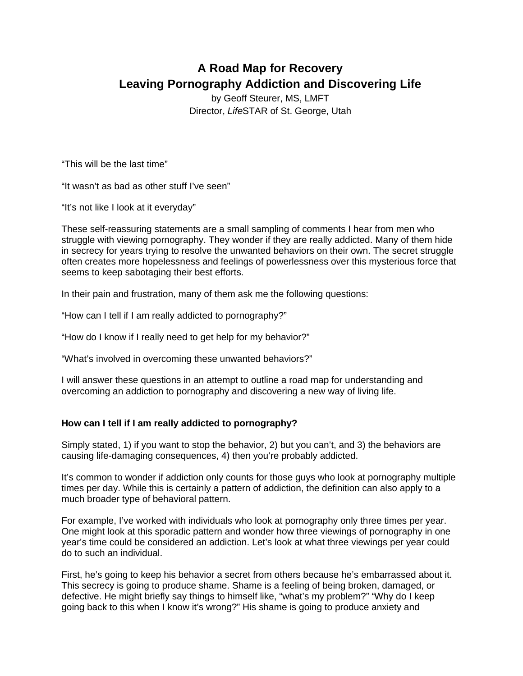# **A Road Map for Recovery Leaving Pornography Addiction and Discovering Life**

by Geoff Steurer, MS, LMFT Director, *Life*STAR of St. George, Utah

"This will be the last time"

"It wasn't as bad as other stuff I've seen"

"It's not like I look at it everyday"

These self-reassuring statements are a small sampling of comments I hear from men who struggle with viewing pornography. They wonder if they are really addicted. Many of them hide in secrecy for years trying to resolve the unwanted behaviors on their own. The secret struggle often creates more hopelessness and feelings of powerlessness over this mysterious force that seems to keep sabotaging their best efforts.

In their pain and frustration, many of them ask me the following questions:

"How can I tell if I am really addicted to pornography?"

"How do I know if I really need to get help for my behavior?"

"What's involved in overcoming these unwanted behaviors?"

I will answer these questions in an attempt to outline a road map for understanding and overcoming an addiction to pornography and discovering a new way of living life.

## **How can I tell if I am really addicted to pornography?**

Simply stated, 1) if you want to stop the behavior, 2) but you can't, and 3) the behaviors are causing life-damaging consequences, 4) then you're probably addicted.

It's common to wonder if addiction only counts for those guys who look at pornography multiple times per day. While this is certainly a pattern of addiction, the definition can also apply to a much broader type of behavioral pattern.

For example, I've worked with individuals who look at pornography only three times per year. One might look at this sporadic pattern and wonder how three viewings of pornography in one year's time could be considered an addiction. Let's look at what three viewings per year could do to such an individual.

First, he's going to keep his behavior a secret from others because he's embarrassed about it. This secrecy is going to produce shame. Shame is a feeling of being broken, damaged, or defective. He might briefly say things to himself like, "what's my problem?" "Why do I keep going back to this when I know it's wrong?" His shame is going to produce anxiety and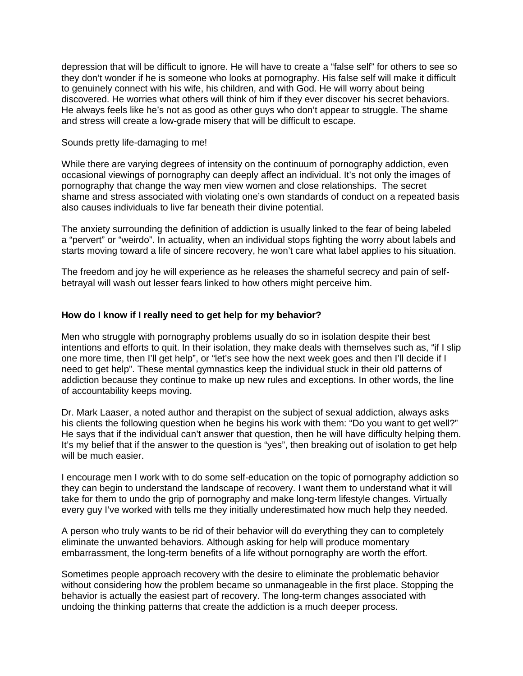depression that will be difficult to ignore. He will have to create a "false self" for others to see so they don't wonder if he is someone who looks at pornography. His false self will make it difficult to genuinely connect with his wife, his children, and with God. He will worry about being discovered. He worries what others will think of him if they ever discover his secret behaviors. He always feels like he's not as good as other guys who don't appear to struggle. The shame and stress will create a low-grade misery that will be difficult to escape.

#### Sounds pretty life-damaging to me!

While there are varying degrees of intensity on the continuum of pornography addiction, even occasional viewings of pornography can deeply affect an individual. It's not only the images of pornography that change the way men view women and close relationships. The secret shame and stress associated with violating one's own standards of conduct on a repeated basis also causes individuals to live far beneath their divine potential.

The anxiety surrounding the definition of addiction is usually linked to the fear of being labeled a "pervert" or "weirdo". In actuality, when an individual stops fighting the worry about labels and starts moving toward a life of sincere recovery, he won't care what label applies to his situation.

The freedom and joy he will experience as he releases the shameful secrecy and pain of selfbetrayal will wash out lesser fears linked to how others might perceive him.

#### **How do I know if I really need to get help for my behavior?**

Men who struggle with pornography problems usually do so in isolation despite their best intentions and efforts to quit. In their isolation, they make deals with themselves such as, "if I slip one more time, then I'll get help", or "let's see how the next week goes and then I'll decide if I need to get help". These mental gymnastics keep the individual stuck in their old patterns of addiction because they continue to make up new rules and exceptions. In other words, the line of accountability keeps moving.

Dr. Mark Laaser, a noted author and therapist on the subject of sexual addiction, always asks his clients the following question when he begins his work with them: "Do you want to get well?" He says that if the individual can't answer that question, then he will have difficulty helping them. It's my belief that if the answer to the question is "yes", then breaking out of isolation to get help will be much easier.

I encourage men I work with to do some self-education on the topic of pornography addiction so they can begin to understand the landscape of recovery. I want them to understand what it will take for them to undo the grip of pornography and make long-term lifestyle changes. Virtually every guy I've worked with tells me they initially underestimated how much help they needed.

A person who truly wants to be rid of their behavior will do everything they can to completely eliminate the unwanted behaviors. Although asking for help will produce momentary embarrassment, the long-term benefits of a life without pornography are worth the effort.

Sometimes people approach recovery with the desire to eliminate the problematic behavior without considering how the problem became so unmanageable in the first place. Stopping the behavior is actually the easiest part of recovery. The long-term changes associated with undoing the thinking patterns that create the addiction is a much deeper process.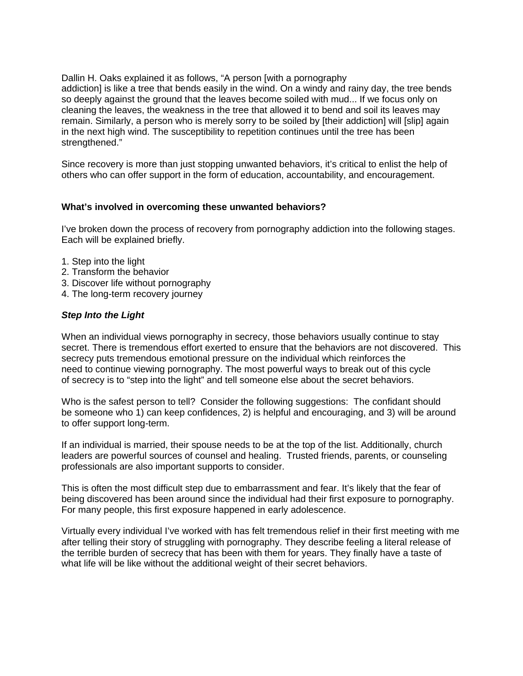Dallin H. Oaks explained it as follows, "A person [with a pornography addiction] is like a tree that bends easily in the wind. On a windy and rainy day, the tree bends so deeply against the ground that the leaves become soiled with mud... If we focus only on cleaning the leaves, the weakness in the tree that allowed it to bend and soil its leaves may remain. Similarly, a person who is merely sorry to be soiled by [their addiction] will [slip] again in the next high wind. The susceptibility to repetition continues until the tree has been strengthened."

Since recovery is more than just stopping unwanted behaviors, it's critical to enlist the help of others who can offer support in the form of education, accountability, and encouragement.

### **What's involved in overcoming these unwanted behaviors?**

I've broken down the process of recovery from pornography addiction into the following stages. Each will be explained briefly.

- 1. Step into the light
- 2. Transform the behavior
- 3. Discover life without pornography
- 4. The long-term recovery journey

#### *Step Into the Light*

When an individual views pornography in secrecy, those behaviors usually continue to stay secret. There is tremendous effort exerted to ensure that the behaviors are not discovered. This secrecy puts tremendous emotional pressure on the individual which reinforces the need to continue viewing pornography. The most powerful ways to break out of this cycle of secrecy is to "step into the light" and tell someone else about the secret behaviors.

Who is the safest person to tell? Consider the following suggestions: The confidant should be someone who 1) can keep confidences, 2) is helpful and encouraging, and 3) will be around to offer support long-term.

If an individual is married, their spouse needs to be at the top of the list. Additionally, church leaders are powerful sources of counsel and healing. Trusted friends, parents, or counseling professionals are also important supports to consider.

This is often the most difficult step due to embarrassment and fear. It's likely that the fear of being discovered has been around since the individual had their first exposure to pornography. For many people, this first exposure happened in early adolescence.

Virtually every individual I've worked with has felt tremendous relief in their first meeting with me after telling their story of struggling with pornography. They describe feeling a literal release of the terrible burden of secrecy that has been with them for years. They finally have a taste of what life will be like without the additional weight of their secret behaviors.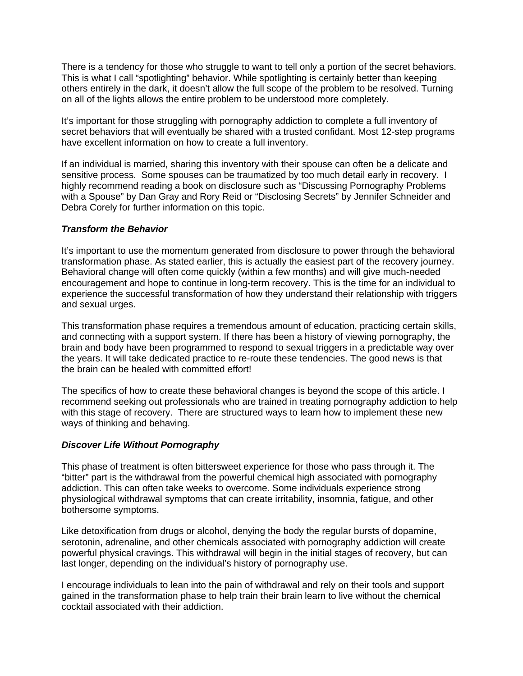There is a tendency for those who struggle to want to tell only a portion of the secret behaviors. This is what I call "spotlighting" behavior. While spotlighting is certainly better than keeping others entirely in the dark, it doesn't allow the full scope of the problem to be resolved. Turning on all of the lights allows the entire problem to be understood more completely.

It's important for those struggling with pornography addiction to complete a full inventory of secret behaviors that will eventually be shared with a trusted confidant. Most 12-step programs have excellent information on how to create a full inventory.

If an individual is married, sharing this inventory with their spouse can often be a delicate and sensitive process. Some spouses can be traumatized by too much detail early in recovery. I highly recommend reading a book on disclosure such as "Discussing Pornography Problems with a Spouse" by Dan Gray and Rory Reid or "Disclosing Secrets" by Jennifer Schneider and Debra Corely for further information on this topic.

#### *Transform the Behavior*

It's important to use the momentum generated from disclosure to power through the behavioral transformation phase. As stated earlier, this is actually the easiest part of the recovery journey. Behavioral change will often come quickly (within a few months) and will give much-needed encouragement and hope to continue in long-term recovery. This is the time for an individual to experience the successful transformation of how they understand their relationship with triggers and sexual urges.

This transformation phase requires a tremendous amount of education, practicing certain skills, and connecting with a support system. If there has been a history of viewing pornography, the brain and body have been programmed to respond to sexual triggers in a predictable way over the years. It will take dedicated practice to re-route these tendencies. The good news is that the brain can be healed with committed effort!

The specifics of how to create these behavioral changes is beyond the scope of this article. I recommend seeking out professionals who are trained in treating pornography addiction to help with this stage of recovery. There are structured ways to learn how to implement these new ways of thinking and behaving.

## *Discover Life Without Pornography*

This phase of treatment is often bittersweet experience for those who pass through it. The "bitter" part is the withdrawal from the powerful chemical high associated with pornography addiction. This can often take weeks to overcome. Some individuals experience strong physiological withdrawal symptoms that can create irritability, insomnia, fatigue, and other bothersome symptoms.

Like detoxification from drugs or alcohol, denying the body the regular bursts of dopamine, serotonin, adrenaline, and other chemicals associated with pornography addiction will create powerful physical cravings. This withdrawal will begin in the initial stages of recovery, but can last longer, depending on the individual's history of pornography use.

I encourage individuals to lean into the pain of withdrawal and rely on their tools and support gained in the transformation phase to help train their brain learn to live without the chemical cocktail associated with their addiction.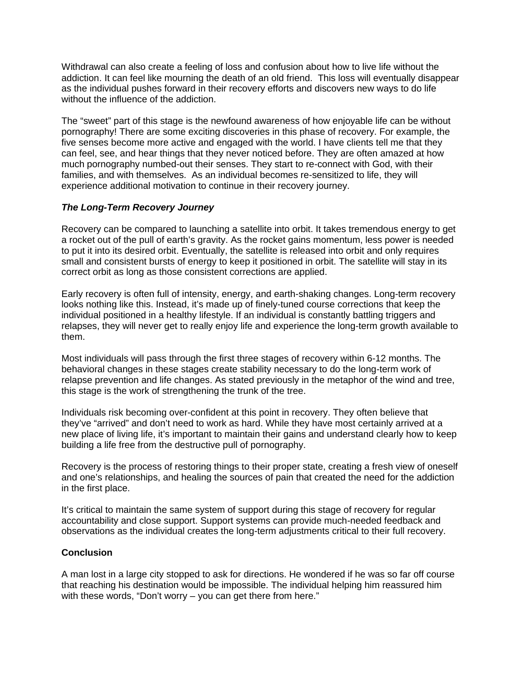Withdrawal can also create a feeling of loss and confusion about how to live life without the addiction. It can feel like mourning the death of an old friend. This loss will eventually disappear as the individual pushes forward in their recovery efforts and discovers new ways to do life without the influence of the addiction.

The "sweet" part of this stage is the newfound awareness of how enjoyable life can be without pornography! There are some exciting discoveries in this phase of recovery. For example, the five senses become more active and engaged with the world. I have clients tell me that they can feel, see, and hear things that they never noticed before. They are often amazed at how much pornography numbed-out their senses. They start to re-connect with God, with their families, and with themselves. As an individual becomes re-sensitized to life, they will experience additional motivation to continue in their recovery journey.

## *The Long-Term Recovery Journey*

Recovery can be compared to launching a satellite into orbit. It takes tremendous energy to get a rocket out of the pull of earth's gravity. As the rocket gains momentum, less power is needed to put it into its desired orbit. Eventually, the satellite is released into orbit and only requires small and consistent bursts of energy to keep it positioned in orbit. The satellite will stay in its correct orbit as long as those consistent corrections are applied.

Early recovery is often full of intensity, energy, and earth-shaking changes. Long-term recovery looks nothing like this. Instead, it's made up of finely-tuned course corrections that keep the individual positioned in a healthy lifestyle. If an individual is constantly battling triggers and relapses, they will never get to really enjoy life and experience the long-term growth available to them.

Most individuals will pass through the first three stages of recovery within 6-12 months. The behavioral changes in these stages create stability necessary to do the long-term work of relapse prevention and life changes. As stated previously in the metaphor of the wind and tree, this stage is the work of strengthening the trunk of the tree.

Individuals risk becoming over-confident at this point in recovery. They often believe that they've "arrived" and don't need to work as hard. While they have most certainly arrived at a new place of living life, it's important to maintain their gains and understand clearly how to keep building a life free from the destructive pull of pornography.

Recovery is the process of restoring things to their proper state, creating a fresh view of oneself and one's relationships, and healing the sources of pain that created the need for the addiction in the first place.

It's critical to maintain the same system of support during this stage of recovery for regular accountability and close support. Support systems can provide much-needed feedback and observations as the individual creates the long-term adjustments critical to their full recovery.

## **Conclusion**

A man lost in a large city stopped to ask for directions. He wondered if he was so far off course that reaching his destination would be impossible. The individual helping him reassured him with these words, "Don't worry – you can get there from here."